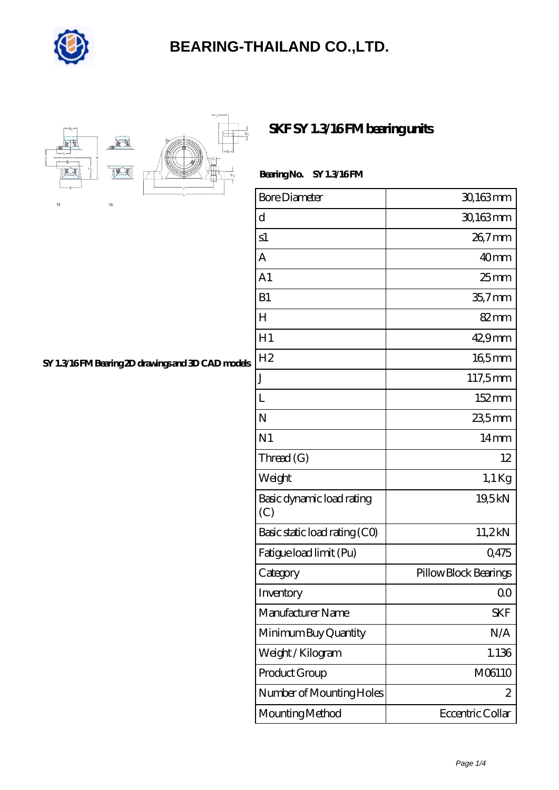



### **[SKF SY 1.3/16 FM bearing units](https://goldengatetunnel.com/af-388158-skf-sy-1-3-16-fm-bearing-units.html)**

| Bearing No. | <b>SY 1.3/16FM</b> |
|-------------|--------------------|
|             |                    |

| <b>Bore Diameter</b>             | 30,163mm              |
|----------------------------------|-----------------------|
| d                                | 30,163mm              |
| s1                               | 26,7mm                |
| A                                | 40 <sub>mm</sub>      |
| A <sub>1</sub>                   | 25 <sub>mm</sub>      |
| B1                               | $35.7$ mm             |
| $H_{\rm}$                        | $82 \text{mm}$        |
| H1                               | 42,9mm                |
| H <sub>2</sub>                   | 165mm                 |
| J                                | 117,5mm               |
| L                                | 152mm                 |
| N                                | 23,5mm                |
| N <sub>1</sub>                   | $14 \text{mm}$        |
| Thread (G)                       | 12                    |
| Weight                           | $1,1$ Kg              |
| Basic dynamic load rating<br>(C) | 19,5kN                |
| Basic static load rating (CO)    | 11,2kN                |
| Fatigue load limit (Pu)          | Q475                  |
| Category                         | Pillow Block Bearings |
| Inventory                        | 0 <sup>0</sup>        |
| Manufacturer Name                | <b>SKF</b>            |
| Minimum Buy Quantity             | N/A                   |
| Weight / Kilogram                | 1.136                 |
| Product Group                    | M06110                |
| Number of Mounting Holes         | 2                     |
| Mounting Method                  | Eccentric Collar      |

### **[SY 1.3/16 FM Bearing 2D drawings and 3D CAD models](https://goldengatetunnel.com/pic-388158.html)**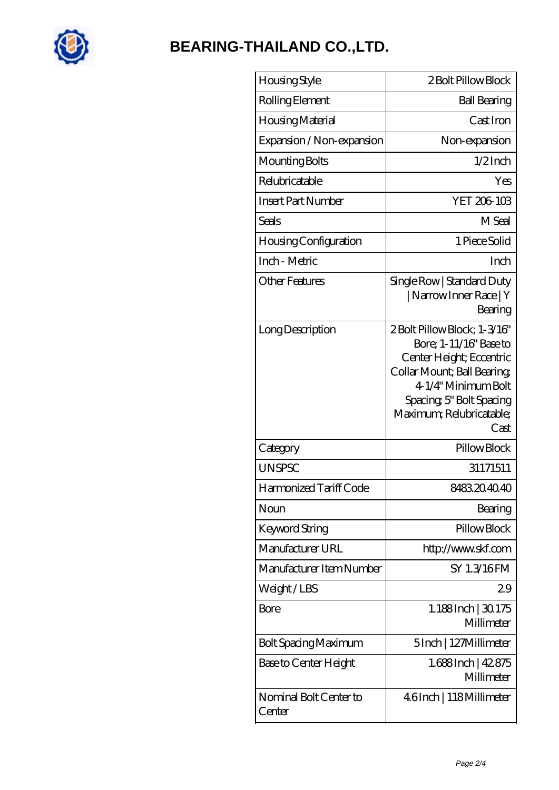

| Housing Style                    | 2 Bolt Pillow Block                                                                                                                                                                                     |
|----------------------------------|---------------------------------------------------------------------------------------------------------------------------------------------------------------------------------------------------------|
| Rolling Element                  | <b>Ball Bearing</b>                                                                                                                                                                                     |
| Housing Material                 | Cast Iron                                                                                                                                                                                               |
| Expansion / Non-expansion        | Non-expansion                                                                                                                                                                                           |
| Mounting Bolts                   | $1/2$ Inch                                                                                                                                                                                              |
| Relubricatable                   | Yes                                                                                                                                                                                                     |
| <b>Insert Part Number</b>        | YET 206-103                                                                                                                                                                                             |
| <b>Seals</b>                     | M Seal                                                                                                                                                                                                  |
| Housing Configuration            | 1 Piece Solid                                                                                                                                                                                           |
| Inch - Metric                    | Inch                                                                                                                                                                                                    |
| Other Features                   | Single Row   Standard Duty<br>  Narrow Inner Race   Y<br>Bearing                                                                                                                                        |
| Long Description                 | 2Bolt Pillow Block; 1-3/16"<br>Bore; 1-11/16" Base to<br>Center Height; Eccentric<br>Collar Mount; Ball Bearing;<br>4-1/4" Minimum Bolt<br>Spacing, 5" Bolt Spacing<br>Maximum; Relubricatable;<br>Cast |
| Category                         | Pillow Block                                                                                                                                                                                            |
| <b>UNSPSC</b>                    | 31171511                                                                                                                                                                                                |
| Harmonized Tariff Code           | 8483204040                                                                                                                                                                                              |
| Noun                             | Bearing                                                                                                                                                                                                 |
| Keyword String                   | Pillow Block                                                                                                                                                                                            |
| Manufacturer URL                 | http://www.skf.com                                                                                                                                                                                      |
| Manufacturer Item Number         | SY 1.3/16FM                                                                                                                                                                                             |
| Weight/LBS                       | 29                                                                                                                                                                                                      |
| Bore                             | 1.188Inch   30.175<br>Millimeter                                                                                                                                                                        |
| Bolt Spacing Maximum             | 5Inch   127Millimeter                                                                                                                                                                                   |
| Base to Center Height            | 1.688Inch   42.875<br>Millimeter                                                                                                                                                                        |
| Nominal Bolt Center to<br>Center | 4.6Inch   118Millimeter                                                                                                                                                                                 |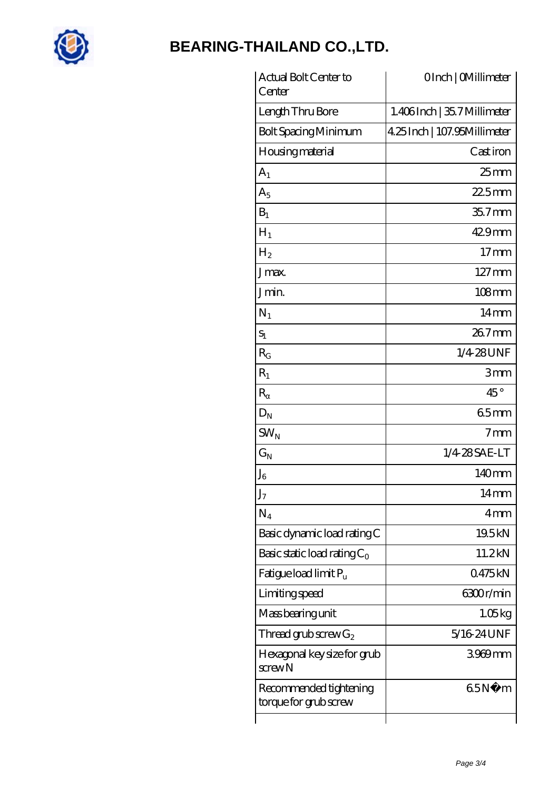

| Actual Bolt Center to<br>Center                 | OInch   CMillimeter          |
|-------------------------------------------------|------------------------------|
| Length Thru Bore                                | 1.406Inch   35.7 Millimeter  |
| <b>Bolt Spacing Minimum</b>                     | 4.25 Inch   107.95Millimeter |
| Housing material                                | Cast iron                    |
| $A_1$                                           | $25$ mm                      |
| $A_5$                                           | $225$ mm                     |
| $B_1$                                           | 35.7mm                       |
| $H_1$                                           | $429$ mm                     |
| $H_2$                                           | $17 \text{mm}$               |
| Jmax.                                           | $127 \,\mathrm{mm}$          |
| Jmin.                                           | $108$ mm                     |
| $N_1$                                           | $14 \text{mm}$               |
| $S_1$                                           | $267$ mm                     |
| $R_G$                                           | 1/4-28UNF                    |
| $R_1$                                           | 3mm                          |
| $\mathbf R$                                     | $45^{\circ}$                 |
| $D_N$                                           | 65mm                         |
| $SW_{N}$                                        | 7 <sub>mm</sub>              |
| $\mathrm{G}_{\mathrm{N}}$                       | 1/4 28 SAE-LT                |
| ${\rm J_6}$                                     | 140mm                        |
| $\rm J_7$                                       | 14mm                         |
| $N_4$                                           | 4mm                          |
| Basic dynamic load rating C                     | 19.5kN                       |
| Basic static load rating $C_0$                  | 11.2kN                       |
| Fatigue load limit $P_u$                        | 0475kN                       |
| Limiting speed                                  | 6300r/min                    |
| Mass bearing unit                               | 1.05kg                       |
| Thread grub screw $G_2$                         | 5/16 24 UNF                  |
| Hexagonal key size for grub<br>$s$ crew $N$     | 3969mm                       |
| Recommended tightening<br>torque for grub screw | 65N.<br>m                    |
|                                                 |                              |